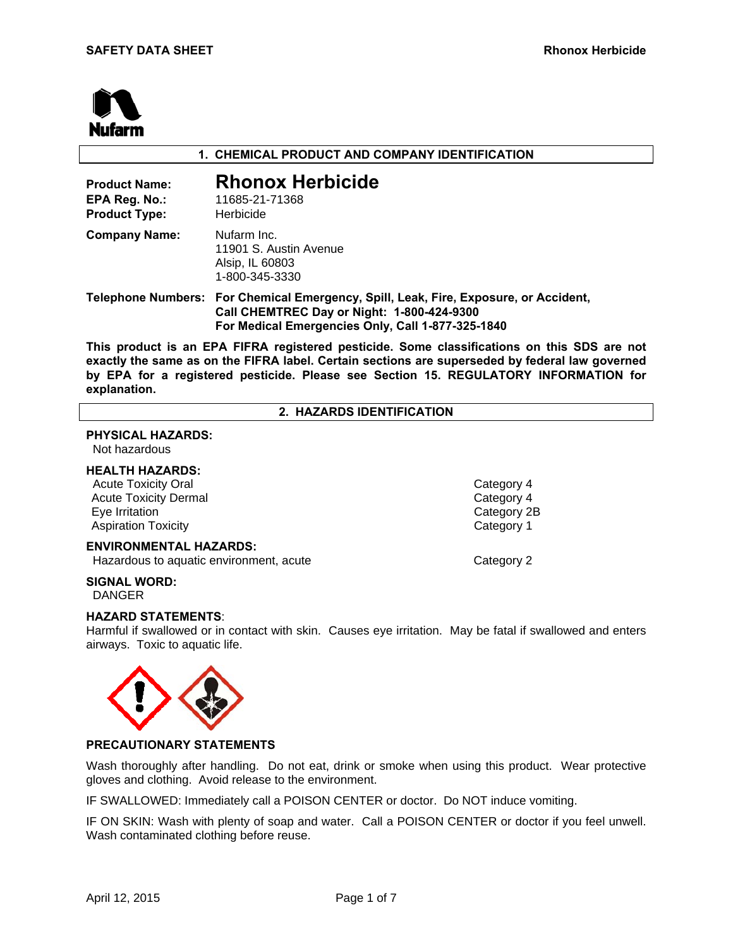

## **1. CHEMICAL PRODUCT AND COMPANY IDENTIFICATION**

| <b>Product Name:</b><br>EPA Reg. No.:<br><b>Product Type:</b> | <b>Rhonox Herbicide</b><br>11685-21-71368<br>Herbicide                                                                                                                                  |
|---------------------------------------------------------------|-----------------------------------------------------------------------------------------------------------------------------------------------------------------------------------------|
| <b>Company Name:</b>                                          | Nufarm Inc.<br>11901 S. Austin Avenue<br>Alsip, IL 60803<br>1-800-345-3330                                                                                                              |
|                                                               | Telephone Numbers: For Chemical Emergency, Spill, Leak, Fire, Exposure, or Accident,<br>Call CHEMTREC Day or Night: 1-800-424-9300<br>For Medical Emergencies Only, Call 1-877-325-1840 |
|                                                               | This conduct is an FBA FIFBA conjutence contigide. Occurs elegativations on this OBO.                                                                                                   |

**This product is an EPA FIFRA registered pesticide. Some classifications on this SDS are not exactly the same as on the FIFRA label. Certain sections are superseded by federal law governed by EPA for a registered pesticide. Please see Section 15. REGULATORY INFORMATION for explanation.** 

**2. HAZARDS IDENTIFICATION** 

# **PHYSICAL HAZARDS:**

# Not hazardous

## **HEALTH HAZARDS:**

Acute Toxicity Oral **Category 4** 2012 12:30 Acute Toxicity Oral 2013 Acute Toxicity Dermal **Category 4** Eye Irritation Category 2B Aspiration Toxicity **Category 1** 

#### **ENVIRONMENTAL HAZARDS:**

**Hazardous to aquatic environment, acute Category 2** 

# **SIGNAL WORD:**

DANGER

#### **HAZARD STATEMENTS**:

Harmful if swallowed or in contact with skin. Causes eye irritation. May be fatal if swallowed and enters airways. Toxic to aquatic life.



## **PRECAUTIONARY STATEMENTS**

Wash thoroughly after handling. Do not eat, drink or smoke when using this product. Wear protective gloves and clothing. Avoid release to the environment.

IF SWALLOWED: Immediately call a POISON CENTER or doctor. Do NOT induce vomiting.

IF ON SKIN: Wash with plenty of soap and water. Call a POISON CENTER or doctor if you feel unwell. Wash contaminated clothing before reuse.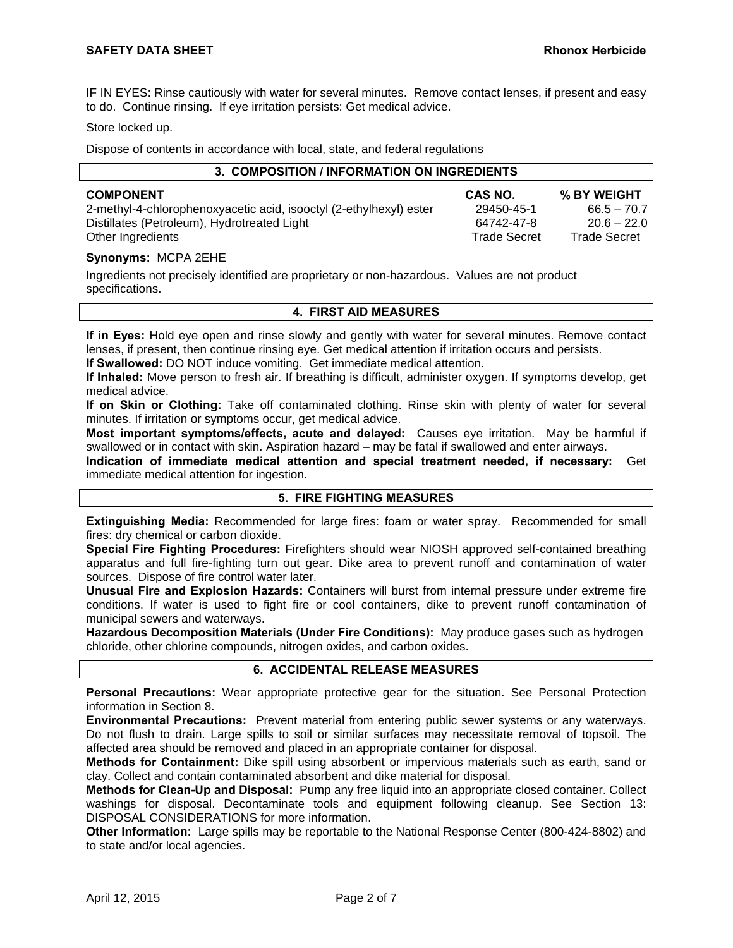IF IN EYES: Rinse cautiously with water for several minutes. Remove contact lenses, if present and easy to do. Continue rinsing. If eye irritation persists: Get medical advice.

#### Store locked up.

Dispose of contents in accordance with local, state, and federal regulations

| 3. COMPOSITION / INFORMATION ON INGREDIENTS                        |                     |                     |  |
|--------------------------------------------------------------------|---------------------|---------------------|--|
| <b>COMPONENT</b>                                                   | CAS NO.             | % BY WEIGHT         |  |
| 2-methyl-4-chlorophenoxyacetic acid, isooctyl (2-ethylhexyl) ester | 29450-45-1          | $66.5 - 70.7$       |  |
| Distillates (Petroleum), Hydrotreated Light                        | 64742-47-8          | $20.6 - 22.0$       |  |
| Other Ingredients                                                  | <b>Trade Secret</b> | <b>Trade Secret</b> |  |

#### **Synonyms:** MCPA 2EHE

Ingredients not precisely identified are proprietary or non-hazardous. Values are not product specifications.

#### **4. FIRST AID MEASURES**

**If in Eyes:** Hold eye open and rinse slowly and gently with water for several minutes. Remove contact lenses, if present, then continue rinsing eye. Get medical attention if irritation occurs and persists.

**If Swallowed:** DO NOT induce vomiting. Get immediate medical attention.

**If Inhaled:** Move person to fresh air. If breathing is difficult, administer oxygen. If symptoms develop, get medical advice.

**If on Skin or Clothing:** Take off contaminated clothing. Rinse skin with plenty of water for several minutes. If irritation or symptoms occur, get medical advice.

**Most important symptoms/effects, acute and delayed:** Causes eye irritation. May be harmful if swallowed or in contact with skin. Aspiration hazard – may be fatal if swallowed and enter airways.

**Indication of immediate medical attention and special treatment needed, if necessary:** Get immediate medical attention for ingestion.

## **5. FIRE FIGHTING MEASURES**

**Extinguishing Media:** Recommended for large fires: foam or water spray. Recommended for small fires: dry chemical or carbon dioxide.

**Special Fire Fighting Procedures:** Firefighters should wear NIOSH approved self-contained breathing apparatus and full fire-fighting turn out gear. Dike area to prevent runoff and contamination of water sources. Dispose of fire control water later.

**Unusual Fire and Explosion Hazards:** Containers will burst from internal pressure under extreme fire conditions. If water is used to fight fire or cool containers, dike to prevent runoff contamination of municipal sewers and waterways.

**Hazardous Decomposition Materials (Under Fire Conditions):** May produce gases such as hydrogen chloride, other chlorine compounds, nitrogen oxides, and carbon oxides.

## **6. ACCIDENTAL RELEASE MEASURES**

**Personal Precautions:** Wear appropriate protective gear for the situation. See Personal Protection information in Section 8.

**Environmental Precautions:** Prevent material from entering public sewer systems or any waterways. Do not flush to drain. Large spills to soil or similar surfaces may necessitate removal of topsoil. The affected area should be removed and placed in an appropriate container for disposal.

**Methods for Containment:** Dike spill using absorbent or impervious materials such as earth, sand or clay. Collect and contain contaminated absorbent and dike material for disposal.

**Methods for Clean-Up and Disposal:** Pump any free liquid into an appropriate closed container. Collect washings for disposal. Decontaminate tools and equipment following cleanup. See Section 13: DISPOSAL CONSIDERATIONS for more information.

**Other Information:** Large spills may be reportable to the National Response Center (800-424-8802) and to state and/or local agencies.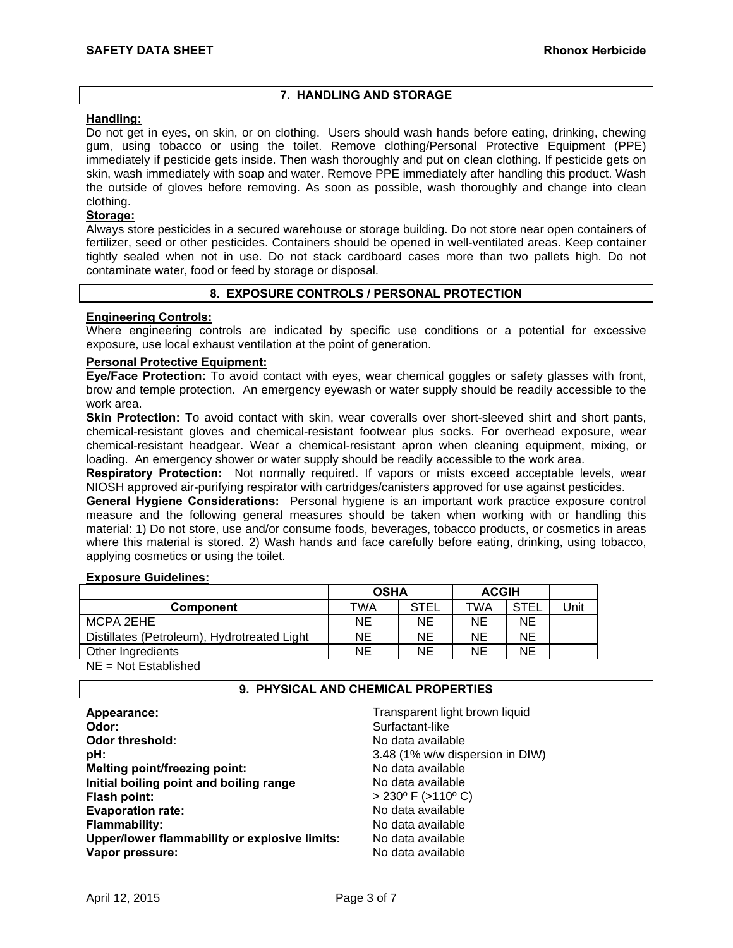## **7. HANDLING AND STORAGE**

## **Handling:**

Do not get in eyes, on skin, or on clothing. Users should wash hands before eating, drinking, chewing gum, using tobacco or using the toilet. Remove clothing/Personal Protective Equipment (PPE) immediately if pesticide gets inside. Then wash thoroughly and put on clean clothing. If pesticide gets on skin, wash immediately with soap and water. Remove PPE immediately after handling this product. Wash the outside of gloves before removing. As soon as possible, wash thoroughly and change into clean clothing.

## **Storage:**

Always store pesticides in a secured warehouse or storage building. Do not store near open containers of fertilizer, seed or other pesticides. Containers should be opened in well-ventilated areas. Keep container tightly sealed when not in use. Do not stack cardboard cases more than two pallets high. Do not contaminate water, food or feed by storage or disposal.

## **8. EXPOSURE CONTROLS / PERSONAL PROTECTION**

## **Engineering Controls:**

Where engineering controls are indicated by specific use conditions or a potential for excessive exposure, use local exhaust ventilation at the point of generation.

## **Personal Protective Equipment:**

**Eye/Face Protection:** To avoid contact with eyes, wear chemical goggles or safety glasses with front, brow and temple protection. An emergency eyewash or water supply should be readily accessible to the work area.

**Skin Protection:** To avoid contact with skin, wear coveralls over short-sleeved shirt and short pants, chemical-resistant gloves and chemical-resistant footwear plus socks. For overhead exposure, wear chemical-resistant headgear. Wear a chemical-resistant apron when cleaning equipment, mixing, or loading. An emergency shower or water supply should be readily accessible to the work area.

**Respiratory Protection:** Not normally required. If vapors or mists exceed acceptable levels, wear NIOSH approved air-purifying respirator with cartridges/canisters approved for use against pesticides.

**General Hygiene Considerations:** Personal hygiene is an important work practice exposure control measure and the following general measures should be taken when working with or handling this material: 1) Do not store, use and/or consume foods, beverages, tobacco products, or cosmetics in areas where this material is stored. 2) Wash hands and face carefully before eating, drinking, using tobacco, applying cosmetics or using the toilet.

## **Exposure Guidelines:**

|                                             | <b>OSHA</b> |             | <b>ACGIH</b> |             |      |
|---------------------------------------------|-------------|-------------|--------------|-------------|------|
| Component                                   | TWA         | <b>STEL</b> | TWA          | <b>STEI</b> | Unit |
| MCPA 2EHE                                   | ΝE          | NΕ          | <b>NE</b>    | NΕ          |      |
| Distillates (Petroleum), Hydrotreated Light | ΝE          | NΕ          | <b>NE</b>    | ΝE          |      |
| Other Ingredients                           | ΝE          | NΕ          | NΕ           | ΝE          |      |
|                                             |             |             |              |             |      |

NE = Not Established

## **9. PHYSICAL AND CHEMICAL PROPERTIES**

| Appearance:<br>Odor:                          | Transparent light brown liquid<br>Surfactant-like |
|-----------------------------------------------|---------------------------------------------------|
| Odor threshold:                               | No data available                                 |
| pH:                                           | 3.48 (1% w/w dispersion in DIW)                   |
| Melting point/freezing point:                 | No data available                                 |
| Initial boiling point and boiling range       | No data available                                 |
| Flash point:                                  | $> 230^{\circ}$ F ( $> 110^{\circ}$ C)            |
| <b>Evaporation rate:</b>                      | No data available                                 |
| <b>Flammability:</b>                          | No data available                                 |
| Upper/lower flammability or explosive limits: | No data available                                 |
| Vapor pressure:                               | No data available                                 |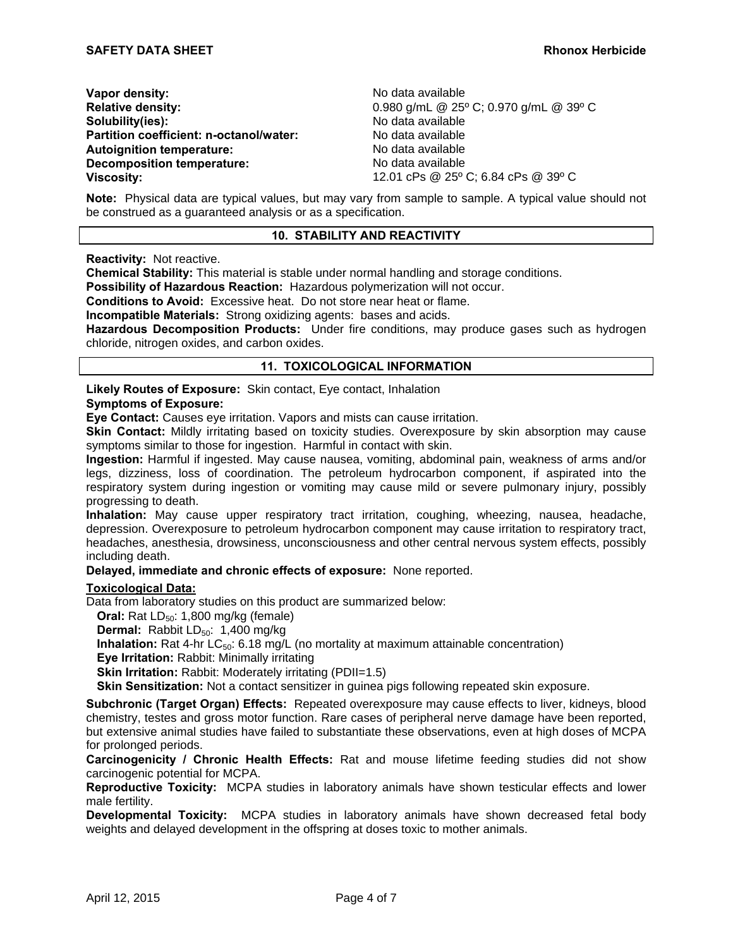| Vapor density:                          |  |
|-----------------------------------------|--|
| <b>Relative density:</b>                |  |
| Solubility(ies):                        |  |
| Partition coefficient: n-octanol/water: |  |
| <b>Autoignition temperature:</b>        |  |
| <b>Decomposition temperature:</b>       |  |
| <b>Viscosity:</b>                       |  |

**Vapor density:** No data available **Relative density:** 0.980 g/mL @ 25º C; 0.970 g/mL @ 39º C **Solubility(ies):** No data available **Partition coefficient: n-octanol/water:** No data available **Autoignition temperature:** No data available **Decomposition temperature:** No data available **Viscosity:** 12.01 cPs @ 25º C; 6.84 cPs @ 39º C

**Note:** Physical data are typical values, but may vary from sample to sample. A typical value should not be construed as a guaranteed analysis or as a specification.

#### **10. STABILITY AND REACTIVITY**

**Reactivity:** Not reactive.

**Chemical Stability:** This material is stable under normal handling and storage conditions.

**Possibility of Hazardous Reaction:** Hazardous polymerization will not occur.

**Conditions to Avoid:** Excessive heat. Do not store near heat or flame.

**Incompatible Materials:** Strong oxidizing agents: bases and acids.

**Hazardous Decomposition Products:** Under fire conditions, may produce gases such as hydrogen chloride, nitrogen oxides, and carbon oxides.

#### **11. TOXICOLOGICAL INFORMATION**

**Likely Routes of Exposure:** Skin contact, Eye contact, Inhalation

#### **Symptoms of Exposure:**

**Eye Contact:** Causes eye irritation. Vapors and mists can cause irritation.

**Skin Contact:** Mildly irritating based on toxicity studies. Overexposure by skin absorption may cause symptoms similar to those for ingestion. Harmful in contact with skin.

**Ingestion:** Harmful if ingested. May cause nausea, vomiting, abdominal pain, weakness of arms and/or legs, dizziness, loss of coordination. The petroleum hydrocarbon component, if aspirated into the respiratory system during ingestion or vomiting may cause mild or severe pulmonary injury, possibly progressing to death.

**Inhalation:** May cause upper respiratory tract irritation, coughing, wheezing, nausea, headache, depression. Overexposure to petroleum hydrocarbon component may cause irritation to respiratory tract, headaches, anesthesia, drowsiness, unconsciousness and other central nervous system effects, possibly including death.

**Delayed, immediate and chronic effects of exposure:** None reported.

## **Toxicological Data:**

Data from laboratory studies on this product are summarized below:

**Oral:** Rat LD<sub>50</sub>: 1,800 mg/kg (female)

**Dermal:** Rabbit LD<sub>50</sub>: 1,400 mg/kg

**Inhalation:** Rat 4-hr LC<sub>50</sub>: 6.18 mg/L (no mortality at maximum attainable concentration)

**Eye Irritation:** Rabbit: Minimally irritating

**Skin Irritation:** Rabbit: Moderately irritating (PDII=1.5)

**Skin Sensitization:** Not a contact sensitizer in guinea pigs following repeated skin exposure.

**Subchronic (Target Organ) Effects:** Repeated overexposure may cause effects to liver, kidneys, blood chemistry, testes and gross motor function. Rare cases of peripheral nerve damage have been reported, but extensive animal studies have failed to substantiate these observations, even at high doses of MCPA for prolonged periods.

**Carcinogenicity / Chronic Health Effects:** Rat and mouse lifetime feeding studies did not show carcinogenic potential for MCPA.

**Reproductive Toxicity:** MCPA studies in laboratory animals have shown testicular effects and lower male fertility.

**Developmental Toxicity:** MCPA studies in laboratory animals have shown decreased fetal body weights and delayed development in the offspring at doses toxic to mother animals.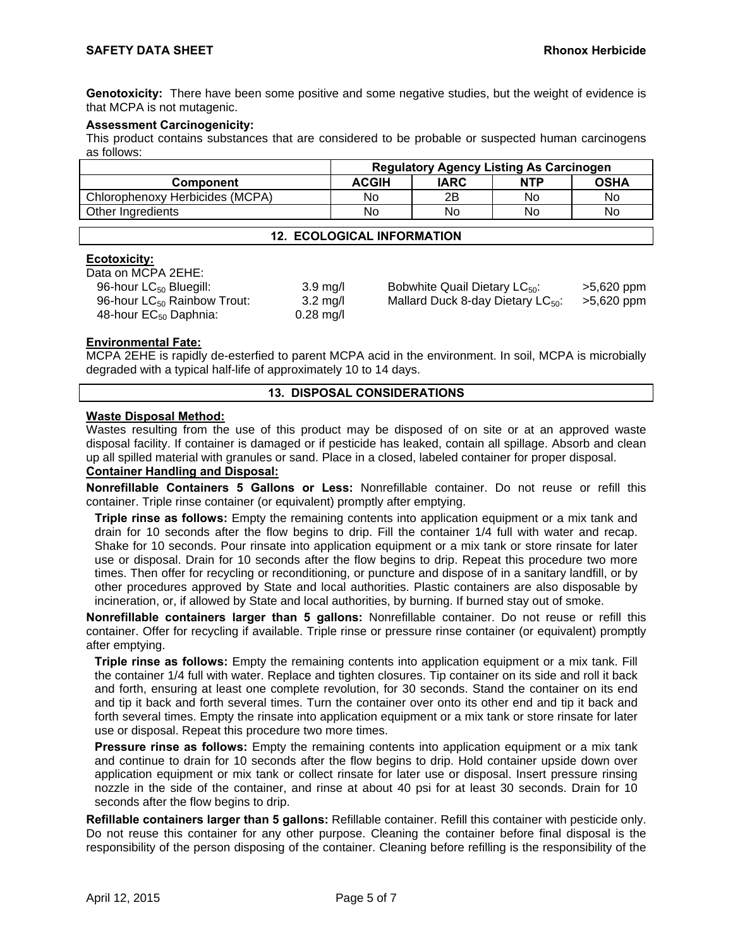**Genotoxicity:** There have been some positive and some negative studies, but the weight of evidence is that MCPA is not mutagenic.

## **Assessment Carcinogenicity:**

This product contains substances that are considered to be probable or suspected human carcinogens as follows:

|                                   | <b>Regulatory Agency Listing As Carcinogen</b> |             |            |             |
|-----------------------------------|------------------------------------------------|-------------|------------|-------------|
| <b>Component</b>                  | <b>ACGIH</b>                                   | <b>IARC</b> | <b>NTP</b> | <b>OSHA</b> |
| Chlorophenoxy Herbicides (MCPA)   | No                                             | 2Β          | No         | No          |
| Other Ingredients                 | No                                             | No          | No         | No          |
| <b>12. ECOLOGICAL INFORMATION</b> |                                                |             |            |             |

## **Ecotoxicity:**

| Data on MCPA 2EHE:                      |                    |
|-----------------------------------------|--------------------|
| 96-hour LC <sub>50</sub> Bluegill:      | $3.9 \text{ mg/l}$ |
| 96-hour LC <sub>50</sub> Rainbow Trout: | $3.2 \text{ mg/l}$ |
| 48-hour EC <sub>50</sub> Daphnia:       | $0.28$ mg/l        |
|                                         |                    |

 $g/I$  Bobwhite Quail Dietary LC $_{50}$ :  $>$  5,620 ppm g/l Mallard Duck 8-day Dietary LC<sub>50</sub>: >5,620 ppm<br>g/l

# **Environmental Fate:**

MCPA 2EHE is rapidly de-esterfied to parent MCPA acid in the environment. In soil, MCPA is microbially degraded with a typical half-life of approximately 10 to 14 days.

## **13. DISPOSAL CONSIDERATIONS**

## **Waste Disposal Method:**

Wastes resulting from the use of this product may be disposed of on site or at an approved waste disposal facility. If container is damaged or if pesticide has leaked, contain all spillage. Absorb and clean up all spilled material with granules or sand. Place in a closed, labeled container for proper disposal.

## **Container Handling and Disposal:**

**Nonrefillable Containers 5 Gallons or Less:** Nonrefillable container. Do not reuse or refill this container. Triple rinse container (or equivalent) promptly after emptying.

**Triple rinse as follows:** Empty the remaining contents into application equipment or a mix tank and drain for 10 seconds after the flow begins to drip. Fill the container 1/4 full with water and recap. Shake for 10 seconds. Pour rinsate into application equipment or a mix tank or store rinsate for later use or disposal. Drain for 10 seconds after the flow begins to drip. Repeat this procedure two more times. Then offer for recycling or reconditioning, or puncture and dispose of in a sanitary landfill, or by other procedures approved by State and local authorities. Plastic containers are also disposable by incineration, or, if allowed by State and local authorities, by burning. If burned stay out of smoke.

**Nonrefillable containers larger than 5 gallons:** Nonrefillable container. Do not reuse or refill this container. Offer for recycling if available. Triple rinse or pressure rinse container (or equivalent) promptly after emptying.

**Triple rinse as follows:** Empty the remaining contents into application equipment or a mix tank. Fill the container 1/4 full with water. Replace and tighten closures. Tip container on its side and roll it back and forth, ensuring at least one complete revolution, for 30 seconds. Stand the container on its end and tip it back and forth several times. Turn the container over onto its other end and tip it back and forth several times. Empty the rinsate into application equipment or a mix tank or store rinsate for later use or disposal. Repeat this procedure two more times.

**Pressure rinse as follows:** Empty the remaining contents into application equipment or a mix tank and continue to drain for 10 seconds after the flow begins to drip. Hold container upside down over application equipment or mix tank or collect rinsate for later use or disposal. Insert pressure rinsing nozzle in the side of the container, and rinse at about 40 psi for at least 30 seconds. Drain for 10 seconds after the flow begins to drip.

**Refillable containers larger than 5 gallons:** Refillable container. Refill this container with pesticide only. Do not reuse this container for any other purpose. Cleaning the container before final disposal is the responsibility of the person disposing of the container. Cleaning before refilling is the responsibility of the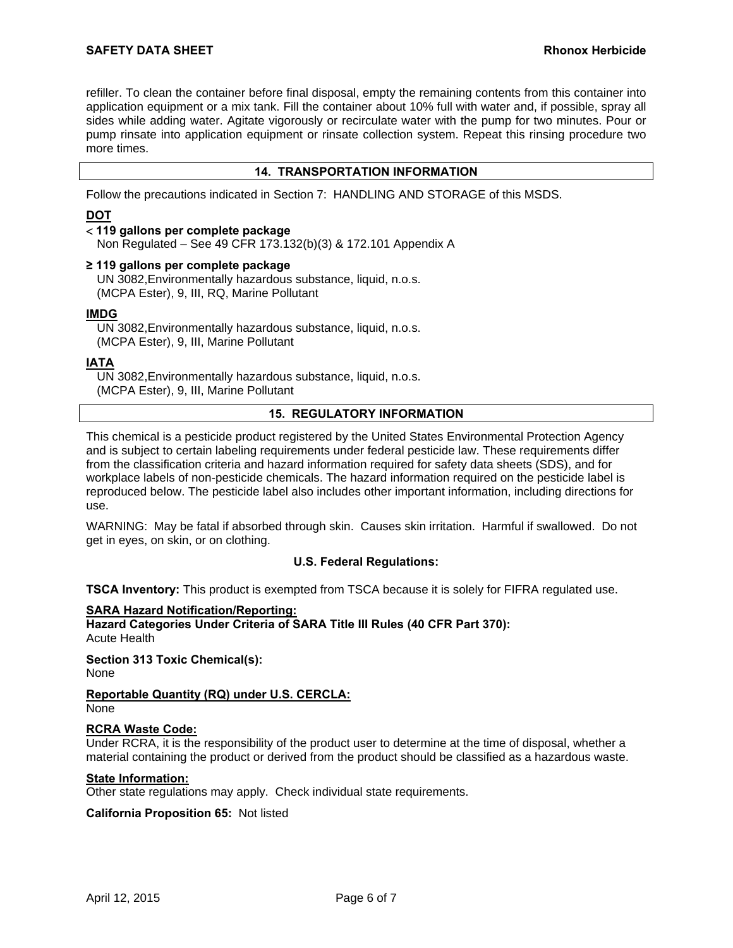refiller. To clean the container before final disposal, empty the remaining contents from this container into application equipment or a mix tank. Fill the container about 10% full with water and, if possible, spray all sides while adding water. Agitate vigorously or recirculate water with the pump for two minutes. Pour or pump rinsate into application equipment or rinsate collection system. Repeat this rinsing procedure two more times.

## **14. TRANSPORTATION INFORMATION**

Follow the precautions indicated in Section 7: HANDLING AND STORAGE of this MSDS.

## **DOT**

## **119 gallons per complete package**

Non Regulated – See 49 CFR 173.132(b)(3) & 172.101 Appendix A

#### **≥ 119 gallons per complete package**

UN 3082,Environmentally hazardous substance, liquid, n.o.s. (MCPA Ester), 9, III, RQ, Marine Pollutant

#### **IMDG**

UN 3082,Environmentally hazardous substance, liquid, n.o.s. (MCPA Ester), 9, III, Marine Pollutant

## **IATA**

UN 3082,Environmentally hazardous substance, liquid, n.o.s. (MCPA Ester), 9, III, Marine Pollutant

## **15. REGULATORY INFORMATION**

This chemical is a pesticide product registered by the United States Environmental Protection Agency and is subject to certain labeling requirements under federal pesticide law. These requirements differ from the classification criteria and hazard information required for safety data sheets (SDS), and for workplace labels of non-pesticide chemicals. The hazard information required on the pesticide label is reproduced below. The pesticide label also includes other important information, including directions for use.

WARNING: May be fatal if absorbed through skin. Causes skin irritation. Harmful if swallowed. Do not get in eyes, on skin, or on clothing.

## **U.S. Federal Regulations:**

**TSCA Inventory:** This product is exempted from TSCA because it is solely for FIFRA regulated use.

## **SARA Hazard Notification/Reporting:**

**Hazard Categories Under Criteria of SARA Title III Rules (40 CFR Part 370):**

Acute Health

**Section 313 Toxic Chemical(s):** None

#### **Reportable Quantity (RQ) under U.S. CERCLA:** None

## **RCRA Waste Code:**

Under RCRA, it is the responsibility of the product user to determine at the time of disposal, whether a material containing the product or derived from the product should be classified as a hazardous waste.

#### **State Information:**

Other state regulations may apply. Check individual state requirements.

**California Proposition 65:** Not listed